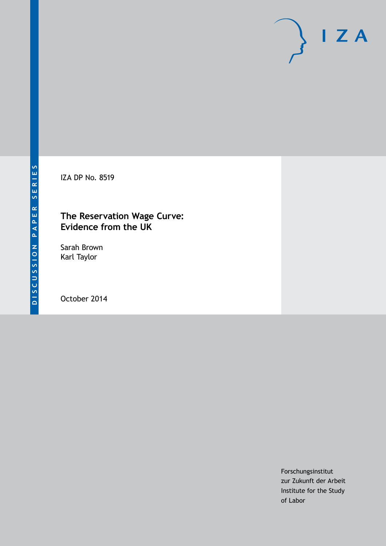IZA DP No. 8519

# **The Reservation Wage Curve: Evidence from the UK**

Sarah Brown Karl Taylor

October 2014

Forschungsinstitut zur Zukunft der Arbeit Institute for the Study of Labor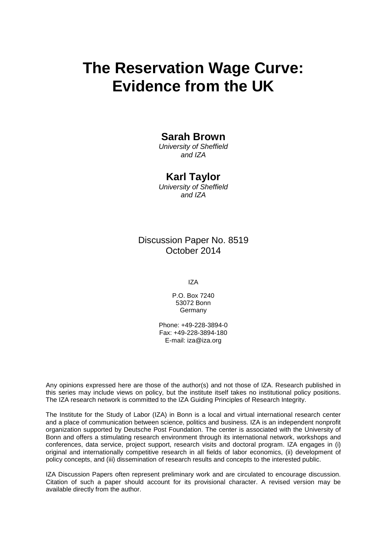# **The Reservation Wage Curve: Evidence from the UK**

## **Sarah Brown**

*University of Sheffield and IZA*

### **Karl Taylor**

*University of Sheffield and IZA*

Discussion Paper No. 8519 October 2014

IZA

P.O. Box 7240 53072 Bonn **Germany** 

Phone: +49-228-3894-0 Fax: +49-228-3894-180 E-mail: [iza@iza.org](mailto:iza@iza.org)

Any opinions expressed here are those of the author(s) and not those of IZA. Research published in this series may include views on policy, but the institute itself takes no institutional policy positions. The IZA research network is committed to the IZA Guiding Principles of Research Integrity.

The Institute for the Study of Labor (IZA) in Bonn is a local and virtual international research center and a place of communication between science, politics and business. IZA is an independent nonprofit organization supported by Deutsche Post Foundation. The center is associated with the University of Bonn and offers a stimulating research environment through its international network, workshops and conferences, data service, project support, research visits and doctoral program. IZA engages in (i) original and internationally competitive research in all fields of labor economics, (ii) development of policy concepts, and (iii) dissemination of research results and concepts to the interested public.

IZA Discussion Papers often represent preliminary work and are circulated to encourage discussion. Citation of such a paper should account for its provisional character. A revised version may be available directly from the author.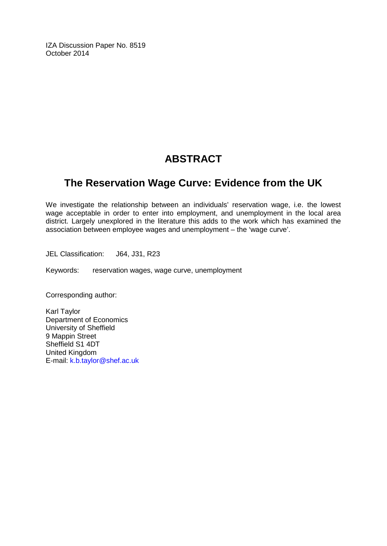IZA Discussion Paper No. 8519 October 2014

# **ABSTRACT**

# **The Reservation Wage Curve: Evidence from the UK**

We investigate the relationship between an individuals' reservation wage, i.e. the lowest wage acceptable in order to enter into employment, and unemployment in the local area district. Largely unexplored in the literature this adds to the work which has examined the association between employee wages and unemployment – the 'wage curve'.

JEL Classification: J64, J31, R23

Keywords: reservation wages, wage curve, unemployment

Corresponding author:

Karl Taylor Department of Economics University of Sheffield 9 Mappin Street Sheffield S1 4DT United Kingdom E-mail: [k.b.taylor@shef.ac.uk](mailto:k.b.taylor@shef.ac.uk)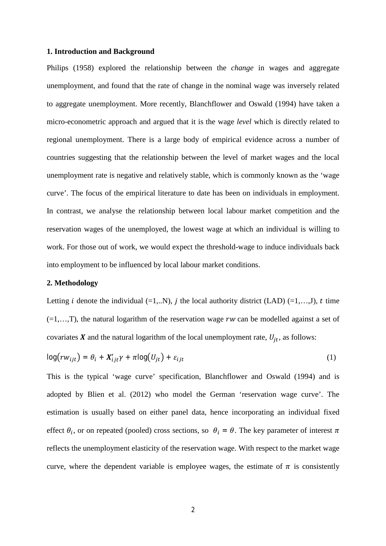#### **1. Introduction and Background**

Philips (1958) explored the relationship between the *change* in wages and aggregate unemployment, and found that the rate of change in the nominal wage was inversely related to aggregate unemployment. More recently, Blanchflower and Oswald (1994) have taken a micro-econometric approach and argued that it is the wage *level* which is directly related to regional unemployment. There is a large body of empirical evidence across a number of countries suggesting that the relationship between the level of market wages and the local unemployment rate is negative and relatively stable, which is commonly known as the 'wage curve'. The focus of the empirical literature to date has been on individuals in employment. In contrast, we analyse the relationship between local labour market competition and the reservation wages of the unemployed, the lowest wage at which an individual is willing to work. For those out of work, we would expect the threshold-wage to induce individuals back into employment to be influenced by local labour market conditions.

#### **2. Methodology**

Letting *i* denote the individual  $(=1,..N)$ , *j* the local authority district (LAD)  $(=1,...,J)$ , *t* time  $(=1,...,T)$ , the natural logarithm of the reservation wage rw can be modelled against a set of covariates  $X$  and the natural logarithm of the local unemployment rate,  $U_{it}$ , as follows:

$$
\log(rw_{ijt}) = \theta_i + X'_{ijt}\gamma + \pi \log(U_{jt}) + \varepsilon_{ijt}
$$
\n(1)

This is the typical 'wage curve' specification, Blanchflower and Oswald (1994) and is adopted by Blien et al. (2012) who model the German 'reservation wage curve'. The estimation is usually based on either panel data, hence incorporating an individual fixed effect  $\theta_i$ , or on repeated (pooled) cross sections, so  $\theta_i = \theta$ . The key parameter of interest reflects the unemployment elasticity of the reservation wage. With respect to the market wage curve, where the dependent variable is employee wages, the estimate of  $\pi$  is consistently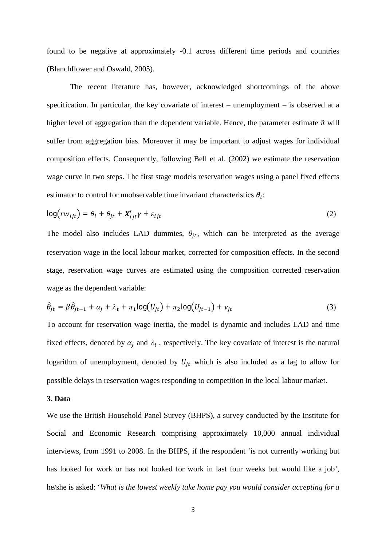found to be negative at approximately -0.1 across different time periods and countries (Blanchflower and Oswald, 2005).

The recent literature has, however, acknowledged shortcomings of the above specification. In particular, the key covariate of interest – unemployment – is observed at a higher level of aggregation than the dependent variable. Hence, the parameter estimate  $\hat{\pi}$  will suffer from aggregation bias. Moreover it may be important to adjust wages for individual composition effects. Consequently, following Bell et al. (2002) we estimate the reservation wage curve in two steps. The first stage models reservation wages using a panel fixed effects estimator to control for unobservable time invariant characteristics  $\theta_i$ :

$$
\log(rw_{ijt}) = \theta_i + \theta_{jt} + X'_{ijt}\gamma + \varepsilon_{ijt}
$$
\n(2)

The model also includes LAD dummies,  $\theta_{it}$ , which can be interpreted as the average reservation wage in the local labour market, corrected for composition effects. In the second stage, reservation wage curves are estimated using the composition corrected reservation wage as the dependent variable:

$$
\hat{\theta}_{jt} = \beta \hat{\theta}_{jt-1} + \alpha_j + \lambda_t + \pi_1 \log(U_{jt}) + \pi_2 \log(U_{jt-1}) + \nu_{jt}
$$
\n(3)

To account for reservation wage inertia, the model is dynamic and includes LAD and time fixed effects, denoted by  $\alpha_i$  and  $\lambda_t$ , respectively. The key covariate of interest is the natural logarithm of unemployment, denoted by  $U_{it}$  which is also included as a lag to allow for possible delays in reservation wages responding to competition in the local labour market.

#### **3. Data**

We use the British Household Panel Survey (BHPS), a survey conducted by the Institute for Social and Economic Research comprising approximately 10,000 annual individual interviews, from 1991 to 2008. In the BHPS, if the respondent 'is not currently working but has looked for work or has not looked for work in last four weeks but would like a job', he/she is asked: '*What is the lowest weekly take home pay you would consider accepting for a*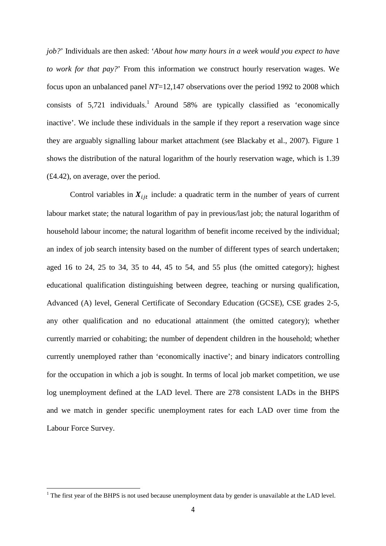*job?*' Individuals are then asked: '*About how many hours in a week would you expect to have to work for that pay?*' From this information we construct hourly reservation wages. We focus upon an unbalanced panel *NT*=12,147 observations over the period 1992 to 2008 which consists of  $5,721$  individuals.<sup>1</sup> Around 58% are typically classified as 'economically inactive'. We include these individuals in the sample if they report a reservation wage since they are arguably signalling labour market attachment (see Blackaby et al., 2007). Figure 1 shows the distribution of the natural logarithm of the hourly reservation wage, which is 1.39 (£4.42), on average, over the period.

Control variables in  $X_{ijt}$  include: a quadratic term in the number of years of current labour market state; the natural logarithm of pay in previous/last job; the natural logarithm of household labour income; the natural logarithm of benefit income received by the individual; an index of job search intensity based on the number of different types of search undertaken; aged 16 to 24, 25 to 34, 35 to 44, 45 to 54, and 55 plus (the omitted category); highest educational qualification distinguishing between degree, teaching or nursing qualification, Advanced (A) level, General Certificate of Secondary Education (GCSE), CSE grades 2-5, any other qualification and no educational attainment (the omitted category); whether currently married or cohabiting; the number of dependent children in the household; whether currently unemployed rather than 'economically inactive'; and binary indicators controlling for the occupation in which a job is sought. In terms of local job market competition, we use log unemployment defined at the LAD level. There are 278 consistent LADs in the BHPS and we match in gender specific unemployment rates for each LAD over time from the Labour Force Survey.

l

 $1$ <sup>1</sup> The first year of the BHPS is not used because unemployment data by gender is unavailable at the LAD level.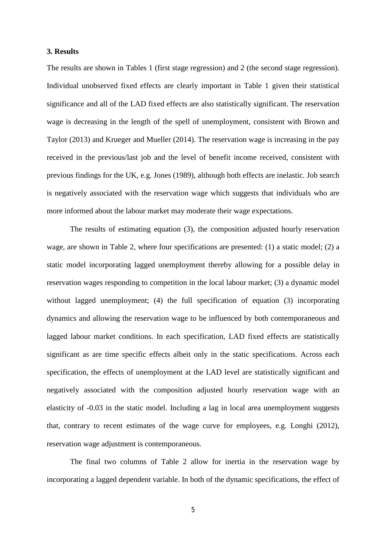#### **3. Results**

The results are shown in Tables 1 (first stage regression) and 2 (the second stage regression). Individual unobserved fixed effects are clearly important in Table 1 given their statistical significance and all of the LAD fixed effects are also statistically significant. The reservation wage is decreasing in the length of the spell of unemployment, consistent with Brown and Taylor (2013) and Krueger and Mueller (2014). The reservation wage is increasing in the pay received in the previous/last job and the level of benefit income received, consistent with previous findings for the UK, e.g. Jones (1989), although both effects are inelastic. Job search is negatively associated with the reservation wage which suggests that individuals who are more informed about the labour market may moderate their wage expectations.

The results of estimating equation (3), the composition adjusted hourly reservation wage, are shown in Table 2, where four specifications are presented: (1) a static model; (2) a static model incorporating lagged unemployment thereby allowing for a possible delay in reservation wages responding to competition in the local labour market; (3) a dynamic model without lagged unemployment; (4) the full specification of equation (3) incorporating dynamics and allowing the reservation wage to be influenced by both contemporaneous and lagged labour market conditions. In each specification, LAD fixed effects are statistically significant as are time specific effects albeit only in the static specifications. Across each specification, the effects of unemployment at the LAD level are statistically significant and negatively associated with the composition adjusted hourly reservation wage with an elasticity of -0.03 in the static model. Including a lag in local area unemployment suggests that, contrary to recent estimates of the wage curve for employees, e.g. Longhi (2012), reservation wage adjustment is contemporaneous.

The final two columns of Table 2 allow for inertia in the reservation wage by incorporating a lagged dependent variable. In both of the dynamic specifications, the effect of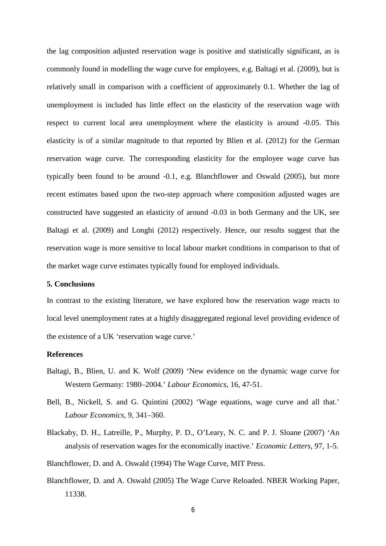the lag composition adjusted reservation wage is positive and statistically significant, as is commonly found in modelling the wage curve for employees, e.g. Baltagi et al. (2009), but is relatively small in comparison with a coefficient of approximately 0.1. Whether the lag of unemployment is included has little effect on the elasticity of the reservation wage with respect to current local area unemployment where the elasticity is around -0.05. This elasticity is of a similar magnitude to that reported by Blien et al. (2012) for the German reservation wage curve. The corresponding elasticity for the employee wage curve has typically been found to be around -0.1, e.g. Blanchflower and Oswald (2005), but more recent estimates based upon the two-step approach where composition adjusted wages are constructed have suggested an elasticity of around -0.03 in both Germany and the UK, see Baltagi et al. (2009) and Longhi (2012) respectively. Hence, our results suggest that the reservation wage is more sensitive to local labour market conditions in comparison to that of the market wage curve estimates typically found for employed individuals.

#### **5. Conclusions**

In contrast to the existing literature, we have explored how the reservation wage reacts to local level unemployment rates at a highly disaggregated regional level providing evidence of the existence of a UK 'reservation wage curve.'

### **References**

- Baltagi, B., Blien, U. and K. Wolf (2009) 'New evidence on the dynamic wage curve for Western Germany: 1980–2004.' *Labour Economics*, 16, 47-51.
- Bell, B., Nickell, S. and G. Quintini (2002) 'Wage equations, wage curve and all that.' *Labour Economics*, 9, 341–360.
- Blackaby, D. H., Latreille, P., Murphy, P. D., O'Leary, N. C. and P. J. Sloane (2007) 'An analysis of reservation wages for the economically inactive.' *Economic Letters*, 97, 1-5.
- Blanchflower, D. and A. Oswald (1994) The Wage Curve, MIT Press.
- Blanchflower, D. and A. Oswald (2005) The Wage Curve Reloaded. NBER Working Paper, 11338.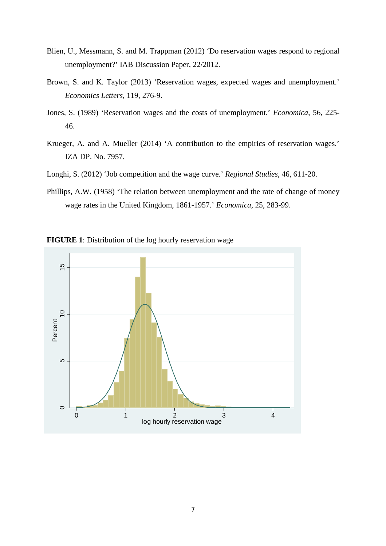- Blien, U., Messmann, S. and M. Trappman (2012) 'Do reservation wages respond to regional unemployment?' IAB Discussion Paper, 22/2012.
- Brown, S. and K. Taylor (2013) 'Reservation wages, expected wages and unemployment.' *Economics Letters*, 119, 276-9.
- Jones, S. (1989) 'Reservation wages and the costs of unemployment.' *Economica*, 56, 225- 46.
- Krueger, A. and A. Mueller (2014) 'A contribution to the empirics of reservation wages.' IZA DP. No. 7957.
- Longhi, S. (2012) 'Job competition and the wage curve.' *Regional Studies*, 46, 611-20.
- Phillips, A.W. (1958) 'The relation between unemployment and the rate of change of money wage rates in the United Kingdom, 1861-1957.' *Economica*, 25, 283-99.

**FIGURE 1**: Distribution of the log hourly reservation wage

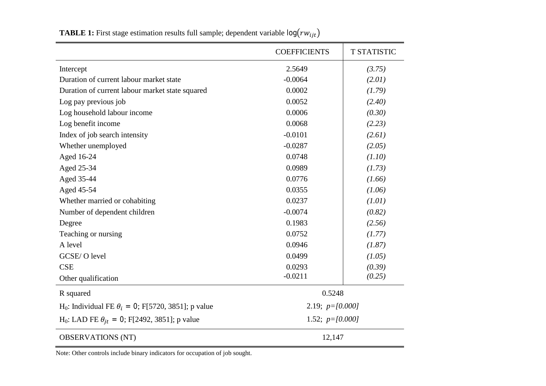|                                                                        | <b>COEFFICIENTS</b> | <b>T STATISTIC</b> |  |
|------------------------------------------------------------------------|---------------------|--------------------|--|
| Intercept                                                              | 2.5649              | (3.75)             |  |
| Duration of current labour market state                                | $-0.0064$           | (2.01)             |  |
| Duration of current labour market state squared                        | 0.0002              | (1.79)             |  |
| Log pay previous job                                                   | 0.0052              | (2.40)             |  |
| Log household labour income                                            | 0.0006              | (0.30)             |  |
| Log benefit income                                                     | 0.0068              | (2.23)             |  |
| Index of job search intensity                                          | $-0.0101$           | (2.61)             |  |
| Whether unemployed                                                     | $-0.0287$           | (2.05)             |  |
| Aged 16-24                                                             | 0.0748              | (1.10)             |  |
| Aged 25-34                                                             | 0.0989              | (1.73)             |  |
| Aged 35-44                                                             | 0.0776              | (1.66)             |  |
| Aged 45-54                                                             | 0.0355              | (1.06)             |  |
| Whether married or cohabiting                                          | 0.0237              | (1.01)             |  |
| Number of dependent children                                           | $-0.0074$           | (0.82)             |  |
| Degree                                                                 | 0.1983              | (2.56)             |  |
| Teaching or nursing                                                    | 0.0752              | (1.77)             |  |
| A level                                                                | 0.0946              | (1.87)             |  |
| GCSE/O level                                                           | 0.0499              | (1.05)             |  |
| <b>CSE</b>                                                             | 0.0293              | (0.39)             |  |
| Other qualification                                                    | $-0.0211$           | (0.25)             |  |
| R squared                                                              | 0.5248              |                    |  |
| H <sub>0</sub> : Individual FE $\theta_i = 0$ ; F[5720, 3851]; p value | 2.19; $p=[0.000]$   |                    |  |
| H <sub>0</sub> : LAD FE $\theta_{jt} = 0$ ; F[2492, 3851]; p value     | 1.52; $p=[0.000]$   |                    |  |
| <b>OBSERVATIONS (NT)</b>                                               | 12,147              |                    |  |

**TABLE 1:** First stage estimation results full sample; dependent variable  $log(rw_{ijt})$ 

Note: Other controls include binary indicators for occupation of job sought.